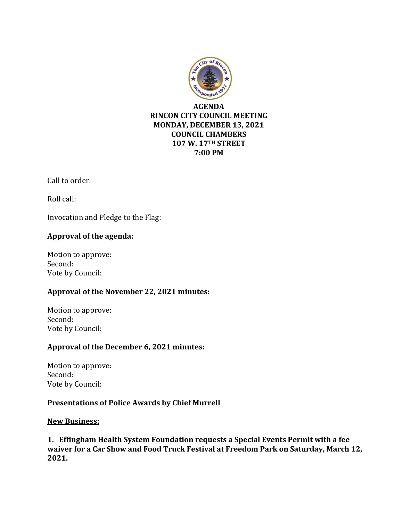

### **AGENDA RINCON CITY COUNCIL MEETING MONDAY, DECEMBER 13, 2021 COUNCIL CHAMBERS 107 W. 17TH STREET 7:00 PM**

Call to order:

Roll call:

Invocation and Pledge to the Flag:

## **Approval of the agenda:**

Motion to approve: Second: Vote by Council:

### **Approval of the November 22, 2021 minutes:**

Motion to approve: Second: Vote by Council:

## **Approval of the December 6, 2021 minutes:**

Motion to approve: Second: Vote by Council:

### **Presentations of Police Awards by Chief Murrell**

### **New Business:**

**1. Effingham Health System Foundation requests a Special Events Permit with a fee waiver for a Car Show and Food Truck Festival at Freedom Park on Saturday, March 12, 2021.**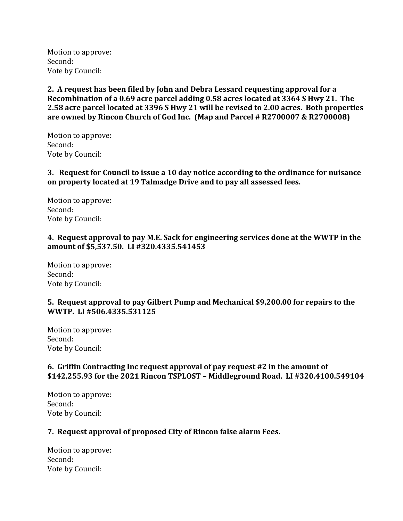Motion to approve: Second: Vote by Council:

**2. A request has been filed by John and Debra Lessard requesting approval for a Recombination of a 0.69 acre parcel adding 0.58 acres located at 3364 S Hwy 21. The 2.58 acre parcel located at 3396 S Hwy 21 will be revised to 2.00 acres. Both properties are owned by Rincon Church of God Inc. (Map and Parcel # R2700007 & R2700008)**

Motion to approve: Second: Vote by Council:

**3. Request for Council to issue a 10 day notice according to the ordinance for nuisance on property located at 19 Talmadge Drive and to pay all assessed fees.**

Motion to approve: Second: Vote by Council:

#### **4. Request approval to pay M.E. Sack for engineering services done at the WWTP in the amount of \$5,537.50. LI #320.4335.541453**

Motion to approve: Second: Vote by Council:

### **5. Request approval to pay Gilbert Pump and Mechanical \$9,200.00 for repairs to the WWTP. LI #506.4335.531125**

Motion to approve: Second: Vote by Council:

## **6. Griffin Contracting Inc request approval of pay request #2 in the amount of \$142,255.93 for the 2021 Rincon TSPLOST – Middleground Road. LI #320.4100.549104**

Motion to approve: Second: Vote by Council:

# **7. Request approval of proposed City of Rincon false alarm Fees.**

Motion to approve: Second: Vote by Council: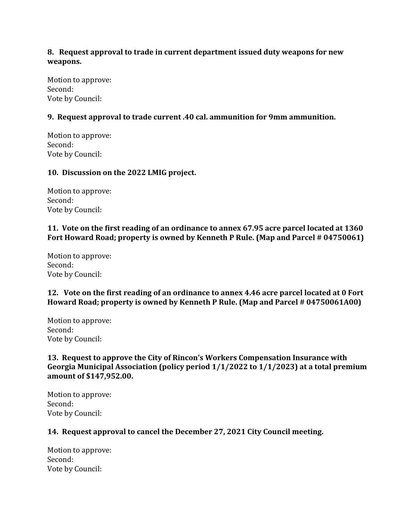## **8. Request approval to trade in current department issued duty weapons for new weapons.**

Motion to approve: Second: Vote by Council:

## **9. Request approval to trade current .40 cal. ammunition for 9mm ammunition.**

Motion to approve: Second: Vote by Council:

### **10. Discussion on the 2022 LMIG project.**

Motion to approve: Second: Vote by Council:

### **11. Vote on the first reading of an ordinance to annex 67.95 acre parcel located at 1360 Fort Howard Road; property is owned by Kenneth P Rule. (Map and Parcel # 04750061)**

Motion to approve: Second: Vote by Council:

## **12. Vote on the first reading of an ordinance to annex 4.46 acre parcel located at 0 Fort Howard Road; property is owned by Kenneth P Rule. (Map and Parcel # 04750061A00)**

Motion to approve: Second: Vote by Council:

## **13. Request to approve the City of Rincon's Workers Compensation Insurance with Georgia Municipal Association (policy period 1/1/2022 to 1/1/2023) at a total premium amount of \$147,952.00.**

Motion to approve: Second: Vote by Council:

# **14. Request approval to cancel the December 27, 2021 City Council meeting.**

Motion to approve: Second: Vote by Council: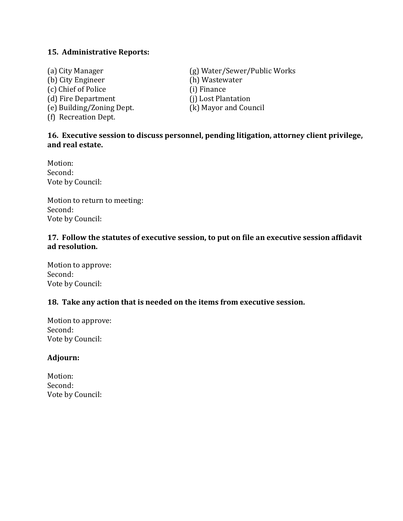#### **15. Administrative Reports:**

(b) City Engineer (h) Wastewater (c) Chief of Police (i) Finance (d) Fire Department (j) Lost Plantation (e) Building/Zoning Dept. (k) Mayor and Council (f) Recreation Dept.

(a) City Manager (g) Water/Sewer/Public Works

## **16. Executive session to discuss personnel, pending litigation, attorney client privilege, and real estate.**

Motion: Second: Vote by Council:

Motion to return to meeting: Second: Vote by Council:

#### **17. Follow the statutes of executive session, to put on file an executive session affidavit ad resolution.**

Motion to approve: Second: Vote by Council:

### **18. Take any action that is needed on the items from executive session.**

Motion to approve: Second: Vote by Council:

#### **Adjourn:**

Motion: Second: Vote by Council: